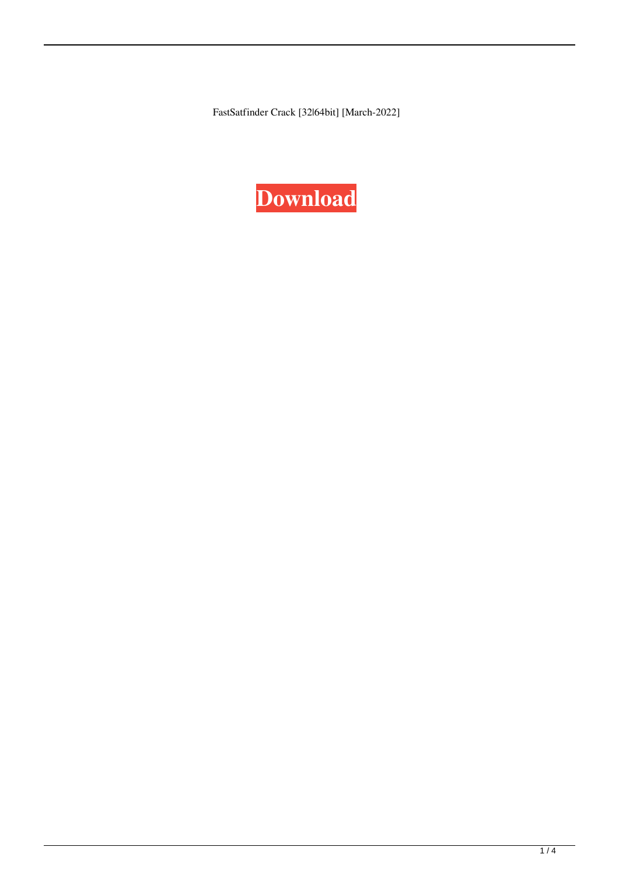FastSatfinder Crack [32|64bit] [March-2022]

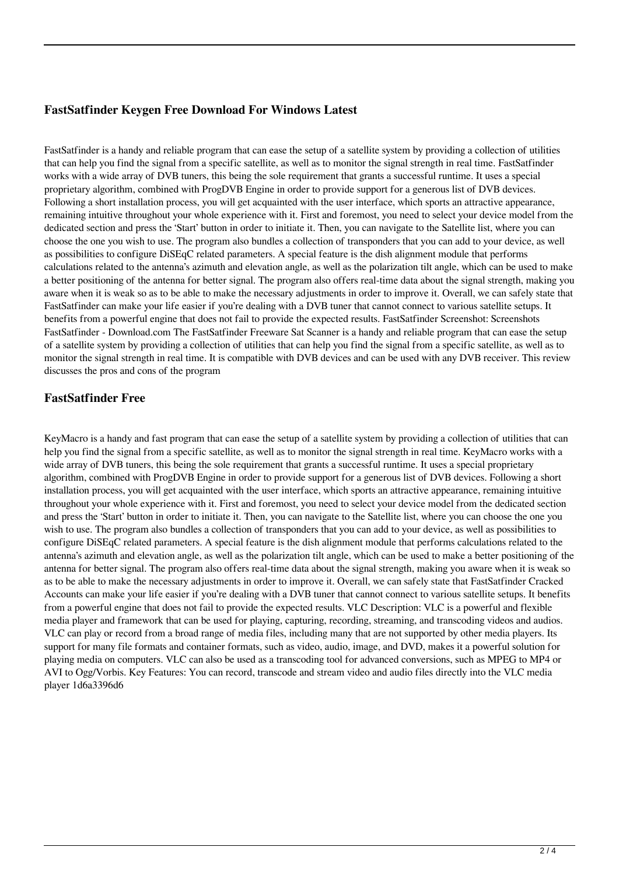#### **FastSatfinder Keygen Free Download For Windows Latest**

FastSatfinder is a handy and reliable program that can ease the setup of a satellite system by providing a collection of utilities that can help you find the signal from a specific satellite, as well as to monitor the signal strength in real time. FastSatfinder works with a wide array of DVB tuners, this being the sole requirement that grants a successful runtime. It uses a special proprietary algorithm, combined with ProgDVB Engine in order to provide support for a generous list of DVB devices. Following a short installation process, you will get acquainted with the user interface, which sports an attractive appearance, remaining intuitive throughout your whole experience with it. First and foremost, you need to select your device model from the dedicated section and press the 'Start' button in order to initiate it. Then, you can navigate to the Satellite list, where you can choose the one you wish to use. The program also bundles a collection of transponders that you can add to your device, as well as possibilities to configure DiSEqC related parameters. A special feature is the dish alignment module that performs calculations related to the antenna's azimuth and elevation angle, as well as the polarization tilt angle, which can be used to make a better positioning of the antenna for better signal. The program also offers real-time data about the signal strength, making you aware when it is weak so as to be able to make the necessary adjustments in order to improve it. Overall, we can safely state that FastSatfinder can make your life easier if you're dealing with a DVB tuner that cannot connect to various satellite setups. It benefits from a powerful engine that does not fail to provide the expected results. FastSatfinder Screenshot: Screenshots FastSatfinder - Download.com The FastSatfinder Freeware Sat Scanner is a handy and reliable program that can ease the setup of a satellite system by providing a collection of utilities that can help you find the signal from a specific satellite, as well as to monitor the signal strength in real time. It is compatible with DVB devices and can be used with any DVB receiver. This review discusses the pros and cons of the program

#### **FastSatfinder Free**

KeyMacro is a handy and fast program that can ease the setup of a satellite system by providing a collection of utilities that can help you find the signal from a specific satellite, as well as to monitor the signal strength in real time. KeyMacro works with a wide array of DVB tuners, this being the sole requirement that grants a successful runtime. It uses a special proprietary algorithm, combined with ProgDVB Engine in order to provide support for a generous list of DVB devices. Following a short installation process, you will get acquainted with the user interface, which sports an attractive appearance, remaining intuitive throughout your whole experience with it. First and foremost, you need to select your device model from the dedicated section and press the 'Start' button in order to initiate it. Then, you can navigate to the Satellite list, where you can choose the one you wish to use. The program also bundles a collection of transponders that you can add to your device, as well as possibilities to configure DiSEqC related parameters. A special feature is the dish alignment module that performs calculations related to the antenna's azimuth and elevation angle, as well as the polarization tilt angle, which can be used to make a better positioning of the antenna for better signal. The program also offers real-time data about the signal strength, making you aware when it is weak so as to be able to make the necessary adjustments in order to improve it. Overall, we can safely state that FastSatfinder Cracked Accounts can make your life easier if you're dealing with a DVB tuner that cannot connect to various satellite setups. It benefits from a powerful engine that does not fail to provide the expected results. VLC Description: VLC is a powerful and flexible media player and framework that can be used for playing, capturing, recording, streaming, and transcoding videos and audios. VLC can play or record from a broad range of media files, including many that are not supported by other media players. Its support for many file formats and container formats, such as video, audio, image, and DVD, makes it a powerful solution for playing media on computers. VLC can also be used as a transcoding tool for advanced conversions, such as MPEG to MP4 or AVI to Ogg/Vorbis. Key Features: You can record, transcode and stream video and audio files directly into the VLC media player 1d6a3396d6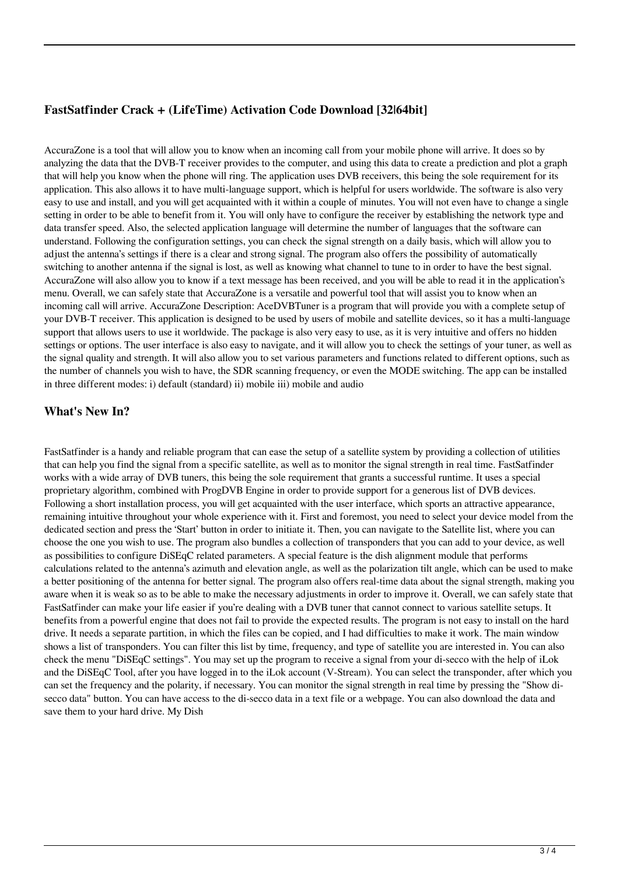# **FastSatfinder Crack + (LifeTime) Activation Code Download [32|64bit]**

AccuraZone is a tool that will allow you to know when an incoming call from your mobile phone will arrive. It does so by analyzing the data that the DVB-T receiver provides to the computer, and using this data to create a prediction and plot a graph that will help you know when the phone will ring. The application uses DVB receivers, this being the sole requirement for its application. This also allows it to have multi-language support, which is helpful for users worldwide. The software is also very easy to use and install, and you will get acquainted with it within a couple of minutes. You will not even have to change a single setting in order to be able to benefit from it. You will only have to configure the receiver by establishing the network type and data transfer speed. Also, the selected application language will determine the number of languages that the software can understand. Following the configuration settings, you can check the signal strength on a daily basis, which will allow you to adjust the antenna's settings if there is a clear and strong signal. The program also offers the possibility of automatically switching to another antenna if the signal is lost, as well as knowing what channel to tune to in order to have the best signal. AccuraZone will also allow you to know if a text message has been received, and you will be able to read it in the application's menu. Overall, we can safely state that AccuraZone is a versatile and powerful tool that will assist you to know when an incoming call will arrive. AccuraZone Description: AceDVBTuner is a program that will provide you with a complete setup of your DVB-T receiver. This application is designed to be used by users of mobile and satellite devices, so it has a multi-language support that allows users to use it worldwide. The package is also very easy to use, as it is very intuitive and offers no hidden settings or options. The user interface is also easy to navigate, and it will allow you to check the settings of your tuner, as well as the signal quality and strength. It will also allow you to set various parameters and functions related to different options, such as the number of channels you wish to have, the SDR scanning frequency, or even the MODE switching. The app can be installed in three different modes: i) default (standard) ii) mobile iii) mobile and audio

## **What's New In?**

FastSatfinder is a handy and reliable program that can ease the setup of a satellite system by providing a collection of utilities that can help you find the signal from a specific satellite, as well as to monitor the signal strength in real time. FastSatfinder works with a wide array of DVB tuners, this being the sole requirement that grants a successful runtime. It uses a special proprietary algorithm, combined with ProgDVB Engine in order to provide support for a generous list of DVB devices. Following a short installation process, you will get acquainted with the user interface, which sports an attractive appearance, remaining intuitive throughout your whole experience with it. First and foremost, you need to select your device model from the dedicated section and press the 'Start' button in order to initiate it. Then, you can navigate to the Satellite list, where you can choose the one you wish to use. The program also bundles a collection of transponders that you can add to your device, as well as possibilities to configure DiSEqC related parameters. A special feature is the dish alignment module that performs calculations related to the antenna's azimuth and elevation angle, as well as the polarization tilt angle, which can be used to make a better positioning of the antenna for better signal. The program also offers real-time data about the signal strength, making you aware when it is weak so as to be able to make the necessary adjustments in order to improve it. Overall, we can safely state that FastSatfinder can make your life easier if you're dealing with a DVB tuner that cannot connect to various satellite setups. It benefits from a powerful engine that does not fail to provide the expected results. The program is not easy to install on the hard drive. It needs a separate partition, in which the files can be copied, and I had difficulties to make it work. The main window shows a list of transponders. You can filter this list by time, frequency, and type of satellite you are interested in. You can also check the menu "DiSEqC settings". You may set up the program to receive a signal from your di-secco with the help of iLok and the DiSEqC Tool, after you have logged in to the iLok account (V-Stream). You can select the transponder, after which you can set the frequency and the polarity, if necessary. You can monitor the signal strength in real time by pressing the "Show disecco data" button. You can have access to the di-secco data in a text file or a webpage. You can also download the data and save them to your hard drive. My Dish